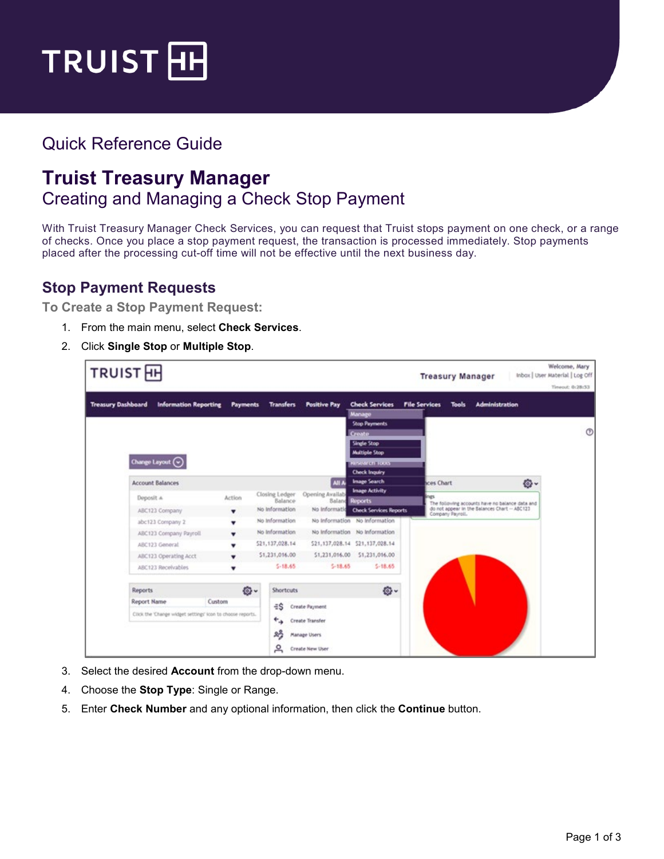

## Quick Reference Guide

## **Truist Treasury Manager** Creating and Managing a Check Stop Payment

With Truist Treasury Manager Check Services, you can request that Truist stops payment on one check, or a range of checks. Once you place a stop payment request, the transaction is processed immediately. Stop payments placed after the processing cut-off time will not be effective until the next business day.

## **Stop Payment Requests**

**To Create a Stop Payment Request:**

- 1. From the main menu, select **Check Services**.
- 2. Click **Single Stop** or **Multiple Stop**.



- 3. Select the desired **Account** from the drop-down menu.
- 4. Choose the **Stop Type**: Single or Range.
- 5. Enter **Check Number** and any optional information, then click the **Continue** button.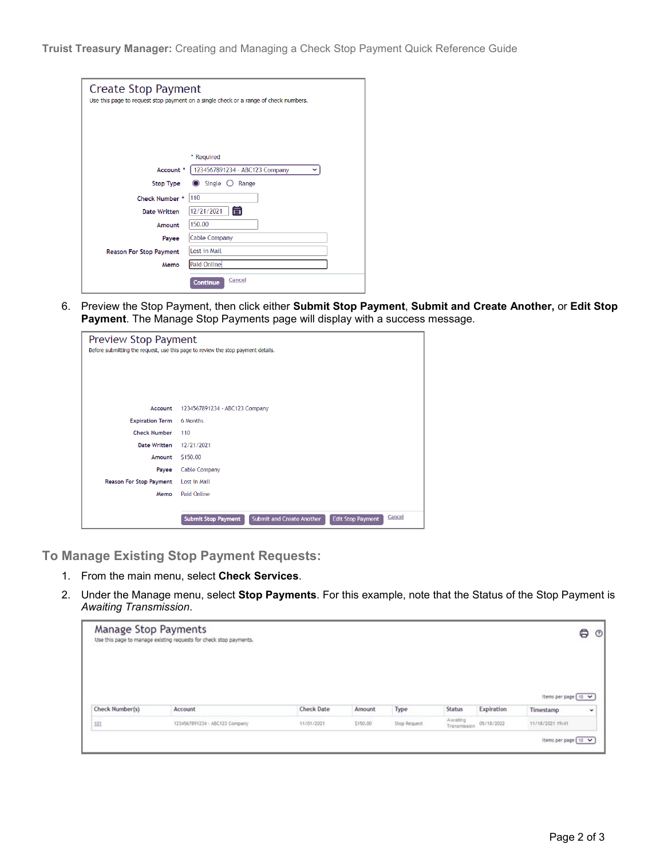**Truist Treasury Manager:** Creating and Managing a Check Stop Payment Quick Reference Guide

| <b>Create Stop Payment</b>     | Use this page to request stop payment on a single check or a range of check numbers. |
|--------------------------------|--------------------------------------------------------------------------------------|
|                                | * Required                                                                           |
| Account *                      | 1234567891234 - ABC123 Company                                                       |
| <b>Stop Type</b>               | Single $\bigcirc$<br>Range                                                           |
| Check Number *                 | 110                                                                                  |
| <b>Date Written</b>            | 盲<br>12/21/2021                                                                      |
| Amount                         | 150.00                                                                               |
| Payee                          | Cable Company                                                                        |
| <b>Reason For Stop Payment</b> | Lost in Mail                                                                         |
| Memo                           | <b>Paid Online</b>                                                                   |
|                                | Cancel<br>Continue                                                                   |

6. Preview the Stop Payment, then click either **Submit Stop Payment**, **Submit and Create Another,** or **Edit Stop Payment**. The Manage Stop Payments page will display with a success message.

| Preview Stop Payment    | Before submitting the request, use this page to review the stop payment details.                     |  |  |  |
|-------------------------|------------------------------------------------------------------------------------------------------|--|--|--|
| Account                 | 1234567891234 - ABC123 Company                                                                       |  |  |  |
| <b>Expiration Term</b>  | 6 Months                                                                                             |  |  |  |
| <b>Check Number</b>     | 110                                                                                                  |  |  |  |
| <b>Date Written</b>     | 12/21/2021                                                                                           |  |  |  |
| Amount                  | S150.00                                                                                              |  |  |  |
| Payee                   | <b>Cable Company</b>                                                                                 |  |  |  |
| Reason For Stop Payment | Lost in Mail                                                                                         |  |  |  |
| Memo                    | Paid Online                                                                                          |  |  |  |
|                         | Cancel<br><b>Submit and Create Another</b><br><b>Edit Stop Payment</b><br><b>Submit Stop Payment</b> |  |  |  |

**To Manage Existing Stop Payment Requests:**

- 1. From the main menu, select **Check Services**.
- 2. Under the Manage menu, select **Stop Payments**. For this example, note that the Status of the Stop Payment is *Awaiting Transmission*.

| Manage Stop Payments | Use this page to manage existing requests for check stop payments. |                   |          |              |                          |            |                       | 8<br>$^\circledR$ |
|----------------------|--------------------------------------------------------------------|-------------------|----------|--------------|--------------------------|------------|-----------------------|-------------------|
|                      |                                                                    |                   |          |              |                          |            | Items per page 10 V   |                   |
| Check Number(s)      | Account                                                            | <b>Check Date</b> | Amount   | Type         | <b>Status</b>            | Expiration | Timestamp             | $\check{}$        |
| 101                  | 1234567891234 - ABC123 Company                                     | 11/01/2021        | \$150.00 | Stop Request | Awaiting<br>Transmission | 05/18/2022 | 11/18/2021 19:41      |                   |
|                      |                                                                    |                   |          |              |                          |            | Items per page [ 10 V |                   |